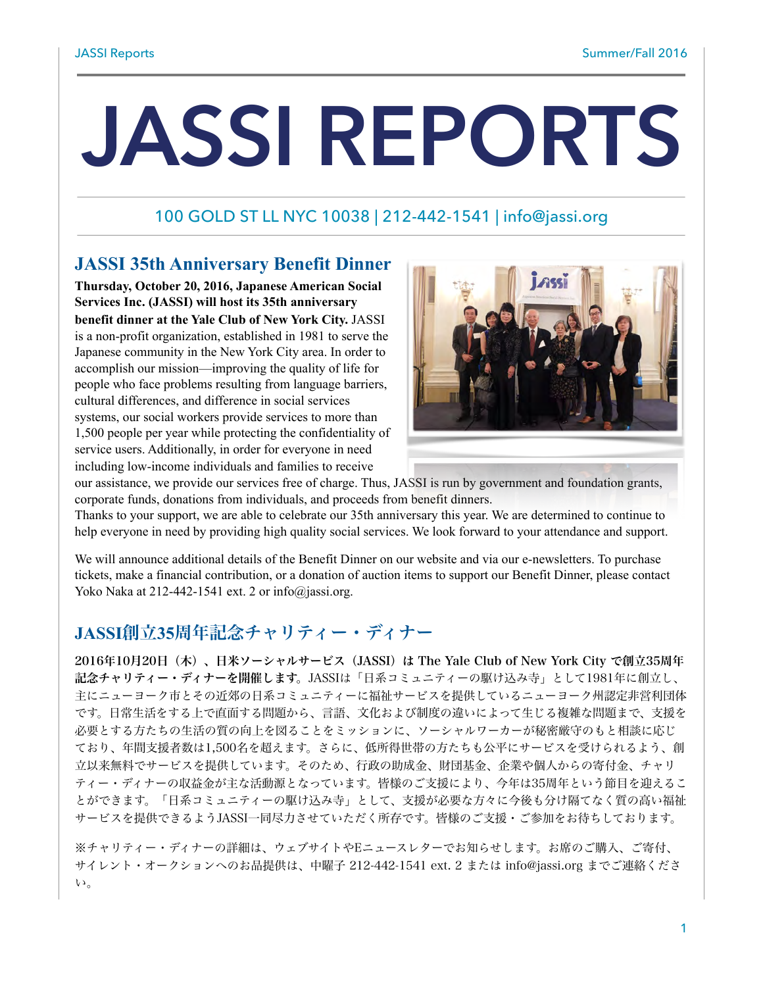# **JASSI REPORTS**

# 100 GOLD ST LL NYC 10038 | 212-442-1541 | [info@jassi.org](mailto:info@jassi.org)

# **JASSI 35th Anniversary Benefit Dinner**

**Thursday, October 20, 2016, Japanese American Social Services Inc. (JASSI) will host its 35th anniversary benefit dinner at the Yale Club of New York City.** JASSI is a non-profit organization, established in 1981 to serve the Japanese community in the New York City area. In order to accomplish our mission—improving the quality of life for people who face problems resulting from language barriers, cultural differences, and difference in social services systems, our social workers provide services to more than 1,500 people per year while protecting the confidentiality of service users. Additionally, in order for everyone in need including low-income individuals and families to receive



our assistance, we provide our services free of charge. Thus, JASSI is run by government and foundation grants, corporate funds, donations from individuals, and proceeds from benefit dinners.

Thanks to your support, we are able to celebrate our 35th anniversary this year. We are determined to continue to help everyone in need by providing high quality social services. We look forward to your attendance and support.

We will announce additional details of the Benefit Dinner on our website and via our e-newsletters. To purchase tickets, make a financial contribution, or a donation of auction items to support our Benefit Dinner, please contact Yoko Naka at 212-442-1541 ext. 2 or  $info@$  jassi.org.

# **JASSI**創立**35**周年記念チャリティー・ディナー

2016年10月20日(木)、日米ソーシャルサービス(JASSI)は The Yale Club of New York City で創立35周年 記念チャリティー・ディナーを開催します。JASSIは「日系コミュニティーの駆け込み寺」として1981年に創立し、 主にニューヨーク市とその近郊の日系コミュニティーに福祉サービスを提供しているニューヨーク州認定非営利団体 です。日常生活をする上で直面する問題から、言語、文化および制度の違いによって生じる複雑な問題まで、支援を 必要とする方たちの生活の質の向上を図ることをミッションに、ソーシャルワーカーが秘密厳守のもと相談に応じ ており、年間支援者数は1,500名を超えます。さらに、低所得世帯の方たちも公平にサービスを受けられるよう、創 立以来無料でサービスを提供しています。そのため、行政の助成金、財団基金、企業や個人からの寄付金、チャリ ティー・ディナーの収益金が主な活動源となっています。皆様のご支援により、今年は35周年という節目を迎えるこ とができます。「日系コミュニティーの駆け込み寺」として、支援が必要な方々に今後も分け隔てなく質の高い福祉 サービスを提供できるようJASSI一同尽力させていただく所存です。皆様のご支援・ご参加をお待ちしております。

※チャリティー・ディナーの詳細は、ウェブサイトやEニュースレターでお知らせします。お席のご購入、ご寄付、 サイレント・オークションへのお品提供は、中曜子 212-442-1541 ext. 2 または info@jassi.org までご連絡くださ い。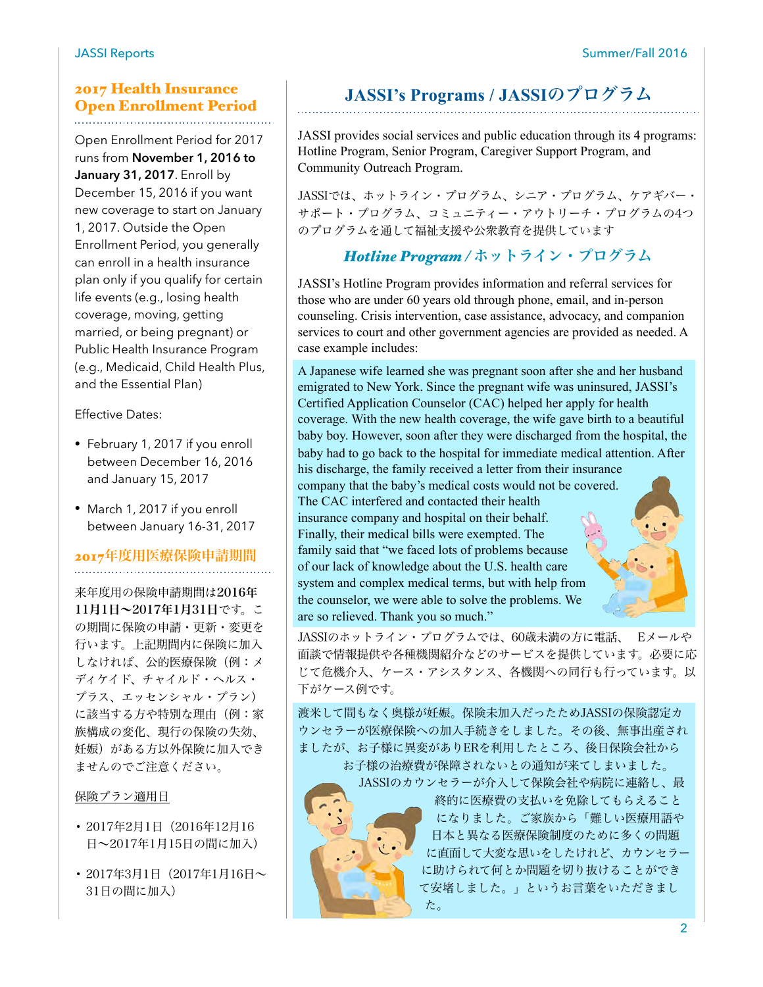#### JASSI Reports Summer/Fall 2016

## 2017 Health Insurance Open Enrollment Period

Open Enrollment Period for 2017 runs from **November 1, 2016 to January 31, 2017**. Enroll by December 15, 2016 if you want new coverage to start on January 1, 2017. Outside the Open Enrollment Period, you generally can enroll in a health insurance plan only if you qualify for certain life events (e.g., losing health coverage, moving, getting married, or being pregnant) or Public Health Insurance Program (e.g., Medicaid, Child Health Plus, and the Essential Plan)

Effective Dates:

- February 1, 2017 if you enroll between December 16, 2016 and January 15, 2017
- March 1, 2017 if you enroll between January 16-31, 2017

## 2017年度用医療保険申請期間

来年度用の保険申請期間は2016年 11月1日~2017年1月31日です。こ の期間に保険の申請・更新・変更を 行います。上記期間内に保険に加入 しなければ、公的医療保険(例:メ ディケイド、チャイルド・ヘルス・ プラス、エッセンシャル・プラン) に該当する方や特別な理由(例:家 族構成の変化、現行の保険の失効、 妊娠)がある方以外保険に加入でき ませんのでご注意ください。

保険プラン適用日

- 2017年2月1日(2016年12月16 日~2017年1月15日の間に加入)
- 2017年3月1日(2017年1月16日~ 31日の間に加入)

# **JASSI's Programs / JASSI**のプログラム

JASSI provides social services and public education through its 4 programs: Hotline Program, Senior Program, Caregiver Support Program, and Community Outreach Program.

JASSIでは、ホットライン・プログラム、シニア・プログラム、ケアギバー・ サポート・プログラム、コミュニティー・アウトリーチ・プログラムの4つ のプログラムを通して福祉支援や公衆教育を提供しています

# *Hotline Program /* ホットライン・プログラム

JASSI's Hotline Program provides information and referral services for those who are under 60 years old through phone, email, and in-person counseling. Crisis intervention, case assistance, advocacy, and companion services to court and other government agencies are provided as needed. A case example includes:

A Japanese wife learned she was pregnant soon after she and her husband emigrated to New York. Since the pregnant wife was uninsured, JASSI's Certified Application Counselor (CAC) helped her apply for health coverage. With the new health coverage, the wife gave birth to a beautiful baby boy. However, soon after they were discharged from the hospital, the baby had to go back to the hospital for immediate medical attention. After his discharge, the family received a letter from their insurance

company that the baby's medical costs would not be covered. The CAC interfered and contacted their health insurance company and hospital on their behalf. Finally, their medical bills were exempted. The family said that "we faced lots of problems because of our lack of knowledge about the U.S. health care system and complex medical terms, but with help from the counselor, we were able to solve the problems. We are so relieved. Thank you so much."

JASSIのホットライン・プログラムでは、60歳未満の方に電話、 Eメールや 面談で情報提供や各種機関紹介などのサービスを提供しています。必要に応 じて危機介入、ケース・アシスタンス、各機関への同行も行っています。以 下がケース例です。

渡米して間もなく奥様が妊娠。保険未加入だったためJASSIの保険認定カ ウンセラーが医療保険への加入手続きをしました。その後、無事出産され ましたが、お子様に異変がありERを利用したところ、後日保険会社から お子様の治療費が保障されないとの通知が来てしまいました。

た。

JASSIのカウンセラーが介入して保険会社や病院に連絡し、最 終的に医療費の支払いを免除してもらえること になりました。ご家族から「難しい医療用語や 日本と異なる医療保険制度のために多くの問題 に直面して大変な思いをしたけれど、カウンセラー に助けられて何とか問題を切り抜けることができ て安堵しました。」というお言葉をいただきまし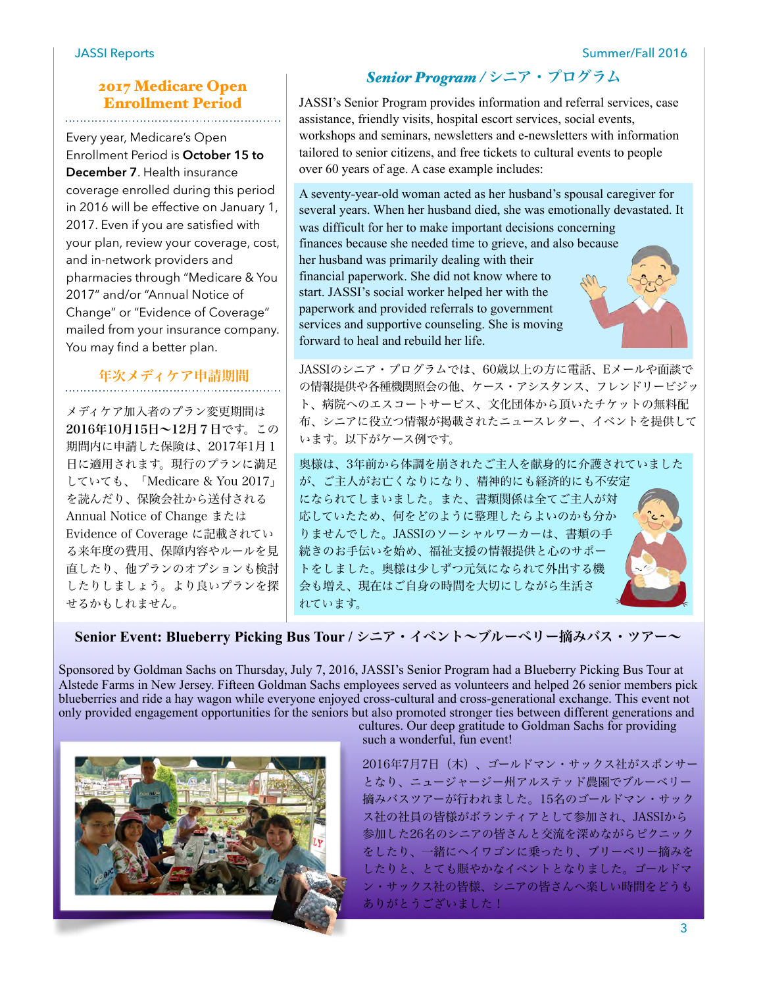# 2017 Medicare Open Enrollment Period

Every year, Medicare's Open Enrollment Period is **October 15 to December 7**. Health insurance coverage enrolled during this period in 2016 will be effective on January 1, 2017. Even if you are satisfied with your plan, review your coverage, cost, and in-network providers and pharmacies through "Medicare & You 2017" and/or "Annual Notice of Change" or "Evidence of Coverage" mailed from your insurance company. You may find a better plan.

# 年次メディケア申請期間

メディケア加入者のプラン変更期間は 2016年10月15日~12月7日です。この 期間内に申請した保険は、2017年1月1 日に適用されます。現行のプランに満足 していても、「Medicare & You 2017」 を読んだり、保険会社から送付される Annual Notice of Change または Evidence of Coverage に記載されてい る来年度の費用、保障内容やルールを見 直したり、他プランのオプションも検討 したりしましょう。より良いプランを探 せるかもしれません。

# *Senior Program /* シニア・プログラム

JASSI's Senior Program provides information and referral services, case assistance, friendly visits, hospital escort services, social events, workshops and seminars, newsletters and e-newsletters with information tailored to senior citizens, and free tickets to cultural events to people over 60 years of age. A case example includes:

A seventy-year-old woman acted as her husband's spousal caregiver for several years. When her husband died, she was emotionally devastated. It was difficult for her to make important decisions concerning finances because she needed time to grieve, and also because her husband was primarily dealing with their financial paperwork. She did not know where to start. JASSI's social worker helped her with the paperwork and provided referrals to government services and supportive counseling. She is moving forward to heal and rebuild her life.

JASSIのシニア・プログラムでは、60歳以上の方に電話、Eメールや面談で の情報提供や各種機関照会の他、ケース・アシスタンス、フレンドリービジッ ト、病院へのエスコートサービス、文化団体から頂いたチケットの無料配 布、シニアに役立つ情報が掲載されたニュースレター、イベントを提供して います。以下がケース例です。

奥様は、3年前から体調を崩されたご主人を献身的に介護されていました が、ご主人がお亡くなりになり、精神的にも経済的にも不安定 になられてしまいました。また、書類関係は全てご主人が対 応していたため、何をどのように整理したらよいのかも分か りませんでした。JASSIのソーシャルワーカーは、書類の手 続きのお手伝いを始め、福祉支援の情報提供と心のサポー トをしました。奥様は少しずつ元気になられて外出する機 会も増え、現在はご自身の時間を大切にしながら生活さ れています。



Senior Event: Blueberry Picking Bus Tour / シニア・イベント~ブルーベリー摘みバス・ツアー~

Sponsored by Goldman Sachs on Thursday, July 7, 2016, JASSI's Senior Program had a Blueberry Picking Bus Tour at Alstede Farms in New Jersey. Fifteen Goldman Sachs employees served as volunteers and helped 26 senior members pick blueberries and ride a hay wagon while everyone enjoyed cross-cultural and cross-generational exchange. This event not only provided engagement opportunities for the seniors but also promoted stronger ties between different generations and



cultures. Our deep gratitude to Goldman Sachs for providing such a wonderful, fun event!

2016年7月7日(木)、ゴールドマン・サックス社がスポンサー となり、ニュージャージー州アルステッド農園でブルーベリー 摘みバスツアーが行われました。15名のゴールドマン・サック ス社の社員の皆様がボランティアとして参加され、JASSIから 参加した26名のシニアの皆さんと交流を深めながらピクニック をしたり、一緒にヘイワゴンに乗ったり、ブリーベリー摘みを したりと、とても賑やかなイベントとなりました。ゴールドマ ン・サックス社の皆様、シニアの皆さんへ楽しい時間をどうも ありがとうございました!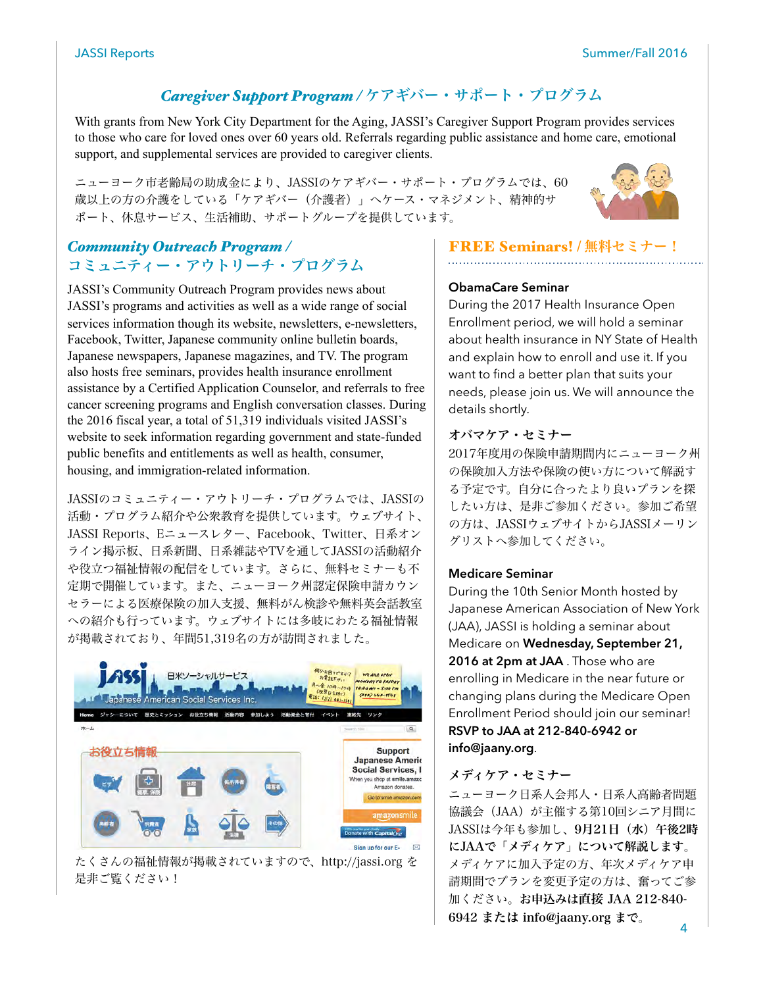# *Caregiver Support Program /* ケアギバー・サポート・プログラム

With grants from New York City Department for the Aging, JASSI's Caregiver Support Program provides services to those who care for loved ones over 60 years old. Referrals regarding public assistance and home care, emotional support, and supplemental services are provided to caregiver clients.

ニューヨーク市老齢局の助成金により、JASSIのケアギバー・サポート・プログラムでは、60 歳以上の方の介護をしている「ケアギバー(介護者)」へケース・マネジメント、精神的サ ポート、休息サービス、生活補助、サポートグループを提供しています。



# *Community Outreach Program /*  コミュニティー・アウトリーチ・プログラム

JASSI's Community Outreach Program provides news about JASSI's programs and activities as well as a wide range of social services information though its website, newsletters, e-newsletters, Facebook, Twitter, Japanese community online bulletin boards, Japanese newspapers, Japanese magazines, and TV. The program also hosts free seminars, provides health insurance enrollment assistance by a Certified Application Counselor, and referrals to free cancer screening programs and English conversation classes. During the 2016 fiscal year, a total of 51,319 individuals visited JASSI's website to seek information regarding government and state-funded public benefits and entitlements as well as health, consumer, housing, and immigration-related information.

JASSIのコミュニティー・アウトリーチ・プログラムでは、JASSIの 活動・プログラム紹介や公衆教育を提供しています。ウェブサイト、 JASSI Reports、Eニュースレター、Facebook、Twitter、日系オン ライン掲示板、日系新聞、日系雑誌やTVを通してJASSIの活動紹介 や役立つ福祉情報の配信をしています。さらに、無料セミナーも不 定期で開催しています。また、ニューヨーク州認定保険申請カウン セラーによる医療保険の加入支援、無料がん検診や無料英会話教室 への紹介も行っています。ウェブサイトには多岐にわたる福祉情報 が掲載されており、年間51,319名の方が訪問されました。



たくさんの福祉情報が掲載されていますので、http://jassi.org を 是非ご覧ください!

# **FREE Seminars! / 無料セミナー!**

#### **ObamaCare Seminar**

During the 2017 Health Insurance Open Enrollment period, we will hold a seminar about health insurance in NY State of Health and explain how to enroll and use it. If you want to find a better plan that suits your needs, please join us. We will announce the details shortly.

#### オバマケア・セミナー

2017年度用の保険申請期間内にニューヨーク州 の保険加入方法や保険の使い方について解説す る予定です。自分に合ったより良いプランを探 したい方は、是非ご参加ください。参加ご希望 の方は、JASSIウェブサイトからJASSIメーリン グリストへ参加してください。

#### **Medicare Seminar**

During the 10th Senior Month hosted by Japanese American Association of New York (JAA), JASSI is holding a seminar about Medicare on **Wednesday, September 21, 2016 at 2pm at JAA** . Those who are enrolling in Medicare in the near future or changing plans during the Medicare Open Enrollment Period should join our seminar! **RSVP to JAA at 212-840-6942 or info@jaany.org**.

#### メディケア・セミナー

ニューヨーク日系人会邦人・日系人高齢者問題 協議会 (JAA) が主催する第10回シニア月間に JASSIは今年も参加し、9月21日(水)午後2時 にJAAで「メディケア」について解説します。 メディケアに加入予定の方、年次メディケア申 請期間でプランを変更予定の方は、奮ってご参 加ください。お申込みは直接 JAA 212-840- 6942 または info@jaany.org まで。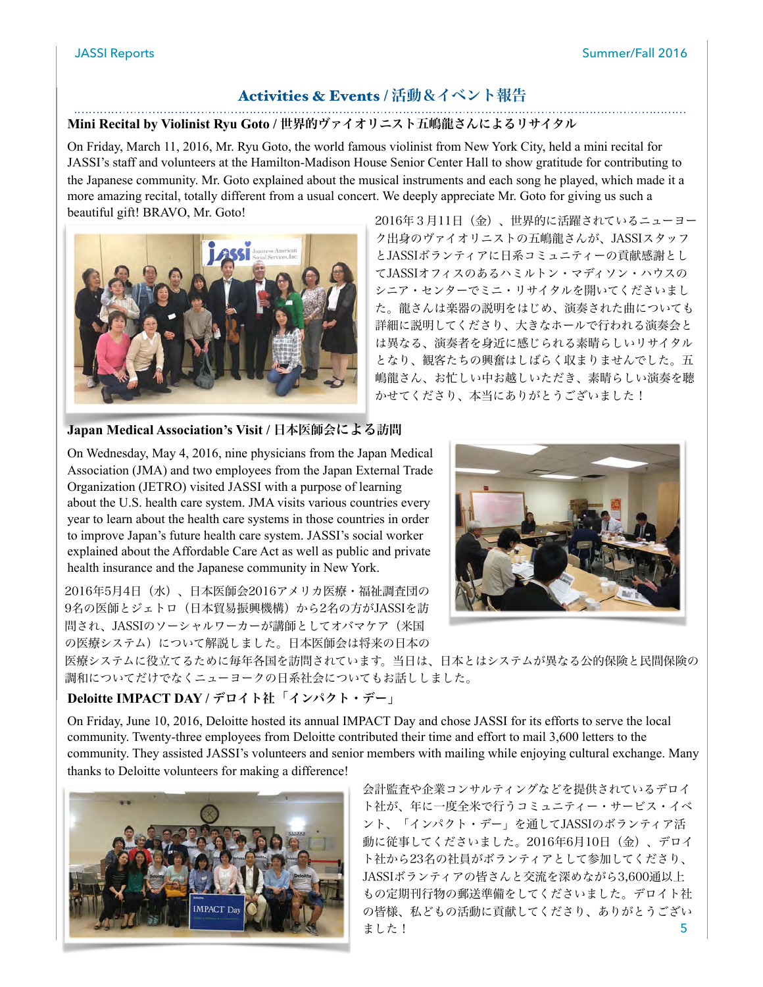### Activities & Events / 活動&イベント報告

#### **Mini Recital by Violinist Ryu Goto /** 世界的ヴァイオリニスト五嶋龍さんによるリサイタル

On Friday, March 11, 2016, Mr. Ryu Goto, the world famous violinist from New York City, held a mini recital for JASSI's staff and volunteers at the Hamilton-Madison House Senior Center Hall to show gratitude for contributing to the Japanese community. Mr. Goto explained about the musical instruments and each song he played, which made it a more amazing recital, totally different from a usual concert. We deeply appreciate Mr. Goto for giving us such a beautiful gift! BRAVO, Mr. Goto!



2016年3月11日(金)、世界的に活躍されているニューヨー ク出身のヴァイオリニストの五嶋龍さんが、JASSIスタッフ とJASSIボランティアに日系コミュニティーの貢献感謝とし てJASSIオフィスのあるハミルトン・マディソン・ハウスの シニア・センターでミニ・リサイタルを開いてくださいまし た。龍さんは楽器の説明をはじめ、演奏された曲についても 詳細に説明してくださり、大きなホールで行われる演奏会と は異なる、演奏者を身近に感じられる素晴らしいリサイタル となり、観客たちの興奮はしばらく収まりませんでした。五 嶋龍さん、お忙しい中お越しいただき、素晴らしい演奏を聴 かせてくださり、本当にありがとうございました!

#### **Japan Medical Association's Visit /** 日本医師会による訪問

On Wednesday, May 4, 2016, nine physicians from the Japan Medical Association (JMA) and two employees from the Japan External Trade Organization (JETRO) visited JASSI with a purpose of learning about the U.S. health care system. JMA visits various countries every year to learn about the health care systems in those countries in order to improve Japan's future health care system. JASSI's social worker explained about the Affordable Care Act as well as public and private health insurance and the Japanese community in New York.

2016年5月4日(水)、日本医師会2016アメリカ医療・福祉調査団の 9名の医師とジェトロ(日本貿易振興機構)から2名の方がJASSIを訪 問され、JASSIのソーシャルワーカーが講師としてオバマケア(米国 の医療システム)について解説しました。日本医師会は将来の日本の



医療システムに役立てるために毎年各国を訪問されています。当日は、日本とはシステムが異なる公的保険と民間保険の 調和についてだけでなくニューヨークの日系社会についてもお話ししました。

#### **Deloitte IMPACT DAY / デロイト社「インパクト・デー」**

On Friday, June 10, 2016, Deloitte hosted its annual IMPACT Day and chose JASSI for its efforts to serve the local community. Twenty-three employees from Deloitte contributed their time and effort to mail 3,600 letters to the community. They assisted JASSI's volunteers and senior members with mailing while enjoying cultural exchange. Many thanks to Deloitte volunteers for making a difference!



5 会計監査や企業コンサルティングなどを提供されているデロイ ト社が、年に一度全米で行うコミュニティー・サービス・イベ ント、「インパクト・デー」を通してJASSIのボランティア活 動に従事してくださいました。2016年6月10日(金)、デロイ ト社から23名の社員がボランティアとして参加してくださり、 JASSIボランティアの皆さんと交流を深めながら3,600通以上 もの定期刊行物の郵送準備をしてくださいました。デロイト社 の皆様、私どもの活動に貢献してくださり、ありがとうござい ました!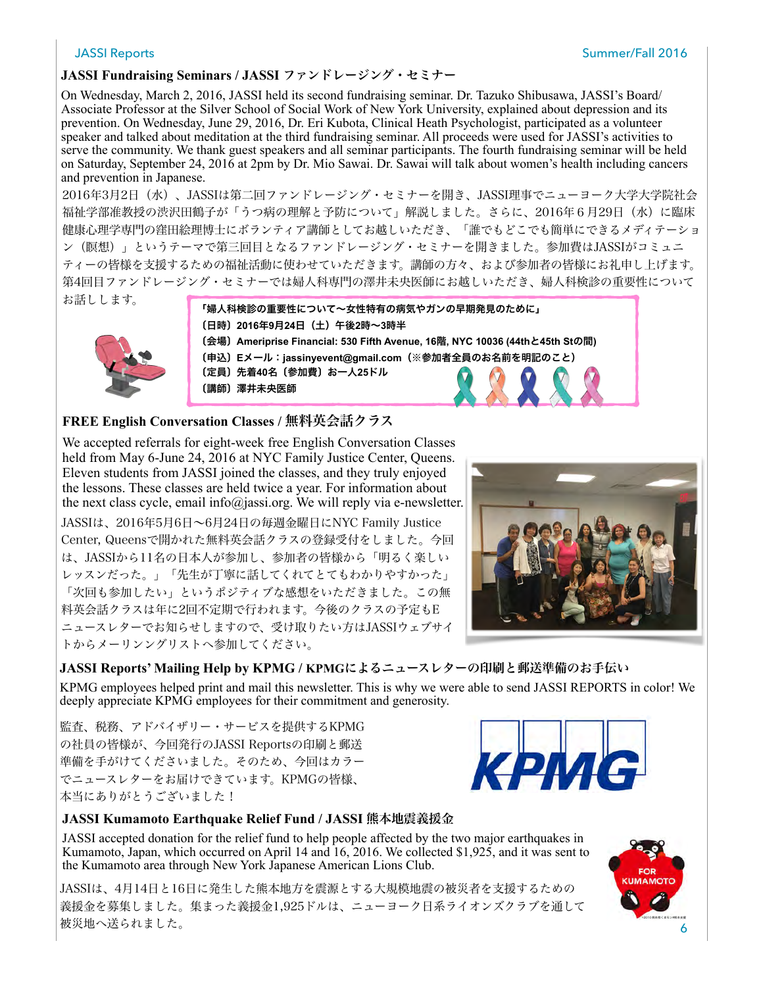#### **JASSI Fundraising Seminars / JASSI** ファンドレージング・セミナー

On Wednesday, March 2, 2016, JASSI held its second fundraising seminar. Dr. Tazuko Shibusawa, JASSI's Board/ Associate Professor at the Silver School of Social Work of New York University, explained about depression and its prevention. On Wednesday, June 29, 2016, Dr. Eri Kubota, Clinical Heath Psychologist, participated as a volunteer speaker and talked about meditation at the third fundraising seminar. All proceeds were used for JASSI's activities to serve the community. We thank guest speakers and all seminar participants. The fourth fundraising seminar will be held on Saturday, September 24, 2016 at 2pm by Dr. Mio Sawai. Dr. Sawai will talk about women's health including cancers and prevention in Japanese.

2016年3月2日(水)、JASSIは第二回ファンドレージング・セミナーを開き、JASSI理事でニューヨーク大学大学院社会 福祉学部准教授の渋沢田鶴子が「うつ病の理解と予防について」解説しました。さらに、2016年6月29日(水)に臨床 健康心理学専門の窪田絵理博士にボランティア講師としてお越しいただき、「誰でもどこでも簡単にできるメディテーショ ン(瞑想)」というテーマで第三回目となるファンドレージング・セミナーを開きました。参加費はJASSIがコミュニ ティーの皆様を支援するための福祉活動に使わせていただきます。講師の方々、および参加者の皆様にお礼申し上げます。 第4回目ファンドレージング・セミナーでは婦人科専門の澤井未央医師にお越しいただき、婦人科検診の重要性について お話しします。



#### **FREE English Conversation Classes /** 無料英会話クラス

We accepted referrals for eight-week free English Conversation Classes held from May 6-June 24, 2016 at NYC Family Justice Center, Queens. Eleven students from JASSI joined the classes, and they truly enjoyed the lessons. These classes are held twice a year. For information about the next class cycle, email info@jassi.org. We will reply via e-newsletter. JASSIは、2016年5月6日~6月24日の毎週金曜日にNYC Family Justice Center, Queensで開かれた無料英会話クラスの登録受付をしました。今回 は、JASSIから11名の日本人が参加し、参加者の皆様から「明るく楽しい レッスンだった。」「先生が丁寧に話してくれてとてもわかりやすかった」 「次回も参加したい」というポジティブな感想をいただきました。この無 料英会話クラスは年に2回不定期で行われます。今後のクラスの予定もE ニュースレターでお知らせしますので、受け取りたい方はJASSIウェブサイ トからメーリンングリストへ参加してください。



**JASSI Reports' Mailing Help by KPMG / KPMG**によるニュースレターの印刷と郵送準備のお手伝い KPMG employees helped print and mail this newsletter. This is why we were able to send JASSI REPORTS in color! We deeply appreciate KPMG employees for their commitment and generosity.

監査、税務、アドバイザリー・サービスを提供するKPMG の社員の皆様が、今回発行のJASSI Reportsの印刷と郵送 準備を手がけてくださいました。そのため、今回はカラー でニュースレターをお届けできています。KPMGの皆様、 本当にありがとうございました!



JASSI accepted donation for the relief fund to help people affected by the two major earthquakes in Kumamoto, Japan, which occurred on April 14 and 16, 2016. We collected \$1,925, and it was sent to the Kumamoto area through New York Japanese American Lions Club.

JASSIは、4月14日と16日に発生した熊本地方を震源とする大規模地震の被災者を支援するための 義援金を募集しました。集まった義援金1,925ドルは、ニューヨーク日系ライオンズクラブを通して 被災地へ送られました。



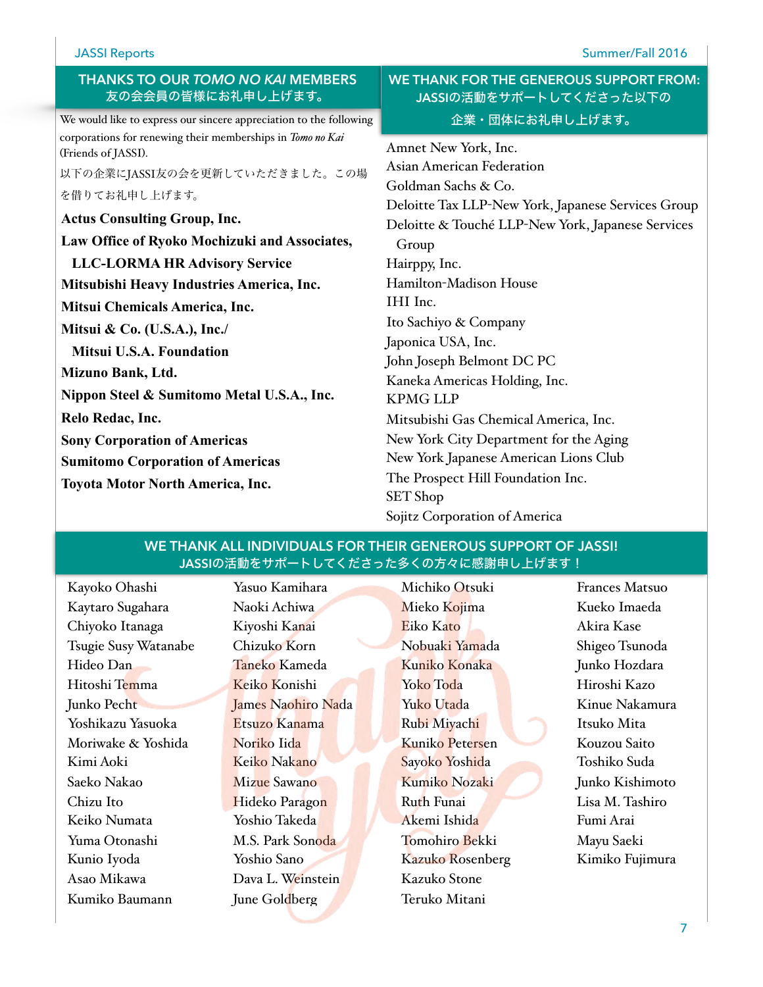#### JASSI Reports Summer/Fall 2016

| <b>THANKS TO OUR TOMO NO KAI MEMBERS</b> |  |
|------------------------------------------|--|
| 友の会会員の皆様にお礼申し上げます。                       |  |

We would like to express our sincere appreciation to the following corporations for renewing their memberships in *Tomo no Kai* (Friends of JASSI).

以下の企業にJASSI友の会を更新していただきました。この場 を借りてお礼申し上げます。

**Actus Consulting Group, Inc.**

**Law Office of Ryoko Mochizuki and Associates,** 

 **LLC-LORMA HR Advisory Service**

**Mitsubishi Heavy Industries America, Inc.**

**Mitsui Chemicals America, Inc.**

**Mitsui & Co. (U.S.A.), Inc./**

 **Mitsui U.S.A. Foundation**

**Mizuno Bank, Ltd.**

**Nippon Steel & Sumitomo Metal U.S.A., Inc.**

**Relo Redac, Inc.**

**Sony Corporation of Americas**

**Sumitomo Corporation of Americas**

**Toyota Motor North America, Inc.**

#### **WE THANK FOR THE GENEROUS SUPPORT FROM: JASSI**の活動をサポートしてくださった以下の 企業・団体にお礼申し上げます。

Amnet New York, Inc. Asian American Federation Goldman Sachs & Co. Deloitte Tax LLP-New York, Japanese Services Group Deloitte & Touché LLP-New York, Japanese Services Group Hairppy, Inc. Hamilton-Madison House IHI Inc. Ito Sachiyo & Company Japonica USA, Inc. John Joseph Belmont DC PC Kaneka Americas Holding, Inc. KPMG LLP Mitsubishi Gas Chemical America, Inc. New York City Department for the Aging New York Japanese American Lions Club The Prospect Hill Foundation Inc. SET Shop Sojitz Corporation of America

#### **WE THANK ALL INDIVIDUALS FOR THEIR GENEROUS SUPPORT OF JASSI! JASSI**の活動をサポートしてくださった多くの方々に感謝申し上げます!

Kayoko Ohashi Kaytaro Sugahara Chiyoko Itanaga Tsugie Susy Watanabe Hideo Dan Hitoshi Temma Junko Pecht Yoshikazu Yasuoka Moriwake & Yoshida Kimi Aoki Saeko Nakao Chizu Ito Keiko Numata Yuma Otonashi Kunio Iyoda Asao Mikawa Kumiko Baumann

Yasuo Kamihara Naoki Achiwa Kiyoshi Kanai Chizuko Korn Taneko Kameda Keiko Konishi James Naohiro Nada Etsuzo Kanama Noriko Iida Keiko Nakano Mizue Sawano Hideko Paragon Yoshio Takeda M.S. Park Sonoda Yoshio Sano Dava L. Weinstein June Goldberg

Michiko Otsuki Mieko Kojima Eiko Kato Nobuaki Yamada Kuniko Konaka Yoko Toda Yuko Utada Rubi Miyachi Kuniko Petersen Sayoko Yoshida Kumiko Nozaki Ruth Funai Akemi Ishida Tomohiro Bekki Kazuko Rosenberg Kazuko Stone Teruko Mitani

Frances Matsuo Kueko Imaeda Akira Kase Shigeo Tsunoda Junko Hozdara Hiroshi Kazo Kinue Nakamura Itsuko Mita Kouzou Saito Toshiko Suda Junko Kishimoto Lisa M. Tashiro Fumi Arai Mayu Saeki Kimiko Fujimura